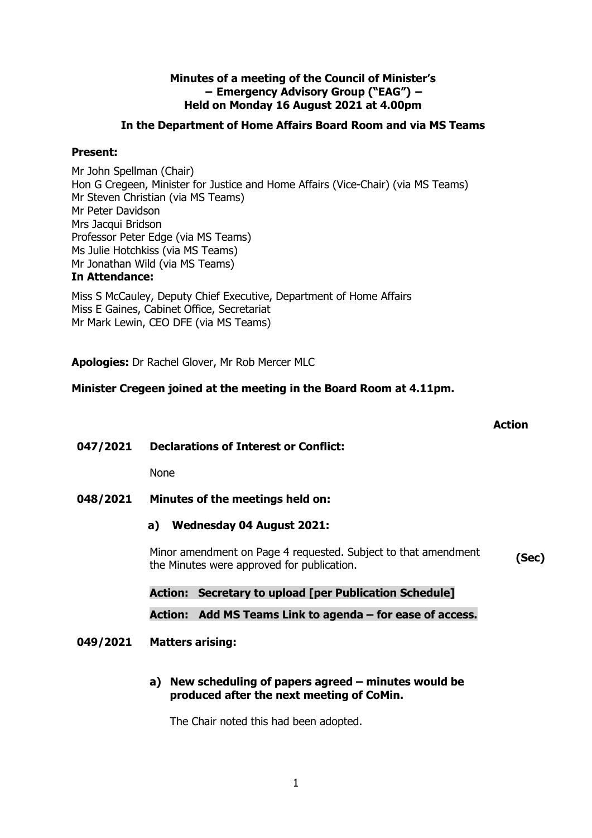### **Minutes of a meeting of the Council of Minister's − Emergency Advisory Group ("EAG") − Held on Monday 16 August 2021 at 4.00pm**

## **In the Department of Home Affairs Board Room and via MS Teams**

## **Present:**

Mr John Spellman (Chair) Hon G Cregeen, Minister for Justice and Home Affairs (Vice-Chair) (via MS Teams) Mr Steven Christian (via MS Teams) Mr Peter Davidson Mrs Jacqui Bridson Professor Peter Edge (via MS Teams) Ms Julie Hotchkiss (via MS Teams) Mr Jonathan Wild (via MS Teams) **In Attendance:**

Miss S McCauley, Deputy Chief Executive, Department of Home Affairs Miss E Gaines, Cabinet Office, Secretariat Mr Mark Lewin, CEO DFE (via MS Teams)

**Apologies:** Dr Rachel Glover, Mr Rob Mercer MLC

## **Minister Cregeen joined at the meeting in the Board Room at 4.11pm.**

|          |                                                                                                              | <b>Action</b> |
|----------|--------------------------------------------------------------------------------------------------------------|---------------|
| 047/2021 | <b>Declarations of Interest or Conflict:</b>                                                                 |               |
|          | <b>None</b>                                                                                                  |               |
| 048/2021 | Minutes of the meetings held on:                                                                             |               |
|          | a) Wednesday 04 August 2021:                                                                                 |               |
|          | Minor amendment on Page 4 requested. Subject to that amendment<br>the Minutes were approved for publication. | (Sec)         |
|          | <b>Action: Secretary to upload [per Publication Schedule]</b>                                                |               |
|          | Action: Add MS Teams Link to agenda – for ease of access.                                                    |               |
| 049/2021 | <b>Matters arising:</b>                                                                                      |               |
|          | New scheduling of papers agreed $-$ minutes would be<br>a)<br>produced after the next meeting of CoMin.      |               |
|          | The Chair noted this had been adopted.                                                                       |               |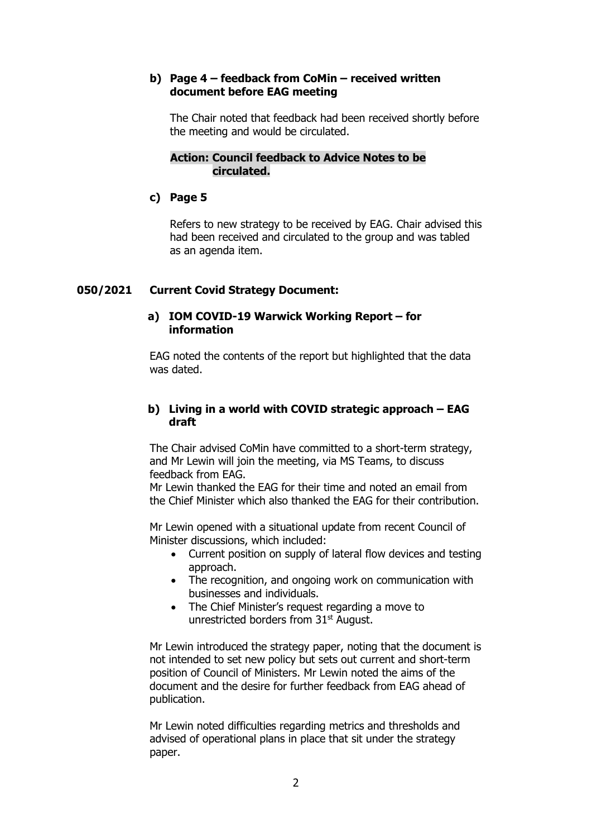### **b) Page 4 – feedback from CoMin – received written document before EAG meeting**

The Chair noted that feedback had been received shortly before the meeting and would be circulated.

### **Action: Council feedback to Advice Notes to be circulated.**

#### **c) Page 5**

Refers to new strategy to be received by EAG. Chair advised this had been received and circulated to the group and was tabled as an agenda item.

#### **050/2021 Current Covid Strategy Document:**

#### **a) IOM COVID-19 Warwick Working Report – for information**

EAG noted the contents of the report but highlighted that the data was dated.

### **b) Living in a world with COVID strategic approach – EAG draft**

The Chair advised CoMin have committed to a short-term strategy, and Mr Lewin will join the meeting, via MS Teams, to discuss feedback from EAG.

Mr Lewin thanked the EAG for their time and noted an email from the Chief Minister which also thanked the EAG for their contribution.

Mr Lewin opened with a situational update from recent Council of Minister discussions, which included:

- Current position on supply of lateral flow devices and testing approach.
- The recognition, and ongoing work on communication with businesses and individuals.
- The Chief Minister's request regarding a move to unrestricted borders from 31<sup>st</sup> August.

Mr Lewin introduced the strategy paper, noting that the document is not intended to set new policy but sets out current and short-term position of Council of Ministers. Mr Lewin noted the aims of the document and the desire for further feedback from EAG ahead of publication.

Mr Lewin noted difficulties regarding metrics and thresholds and advised of operational plans in place that sit under the strategy paper.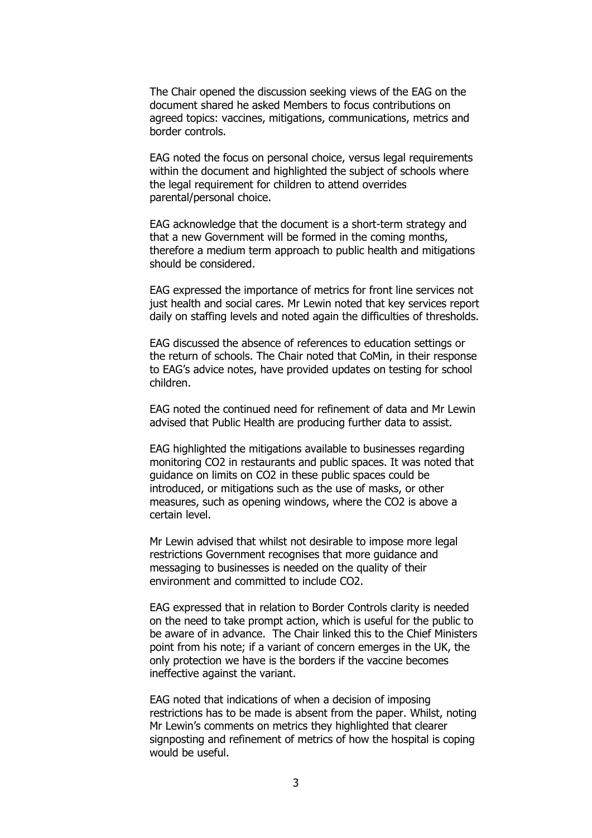The Chair opened the discussion seeking views of the EAG on the document shared he asked Members to focus contributions on agreed topics: vaccines, mitigations, communications, metrics and border controls.

EAG noted the focus on personal choice, versus legal requirements within the document and highlighted the subject of schools where the legal requirement for children to attend overrides parental/personal choice.

EAG acknowledge that the document is a short-term strategy and that a new Government will be formed in the coming months, therefore a medium term approach to public health and mitigations should be considered.

EAG expressed the importance of metrics for front line services not just health and social cares. Mr Lewin noted that key services report daily on staffing levels and noted again the difficulties of thresholds.

EAG discussed the absence of references to education settings or the return of schools. The Chair noted that CoMin, in their response to EAG's advice notes, have provided updates on testing for school children.

EAG noted the continued need for refinement of data and Mr Lewin advised that Public Health are producing further data to assist.

EAG highlighted the mitigations available to businesses regarding monitoring CO2 in restaurants and public spaces. It was noted that guidance on limits on CO2 in these public spaces could be introduced, or mitigations such as the use of masks, or other measures, such as opening windows, where the CO2 is above a certain level.

Mr Lewin advised that whilst not desirable to impose more legal restrictions Government recognises that more guidance and messaging to businesses is needed on the quality of their environment and committed to include CO2.

EAG expressed that in relation to Border Controls clarity is needed on the need to take prompt action, which is useful for the public to be aware of in advance. The Chair linked this to the Chief Ministers point from his note; if a variant of concern emerges in the UK, the only protection we have is the borders if the vaccine becomes ineffective against the variant.

EAG noted that indications of when a decision of imposing restrictions has to be made is absent from the paper. Whilst, noting Mr Lewin's comments on metrics they highlighted that clearer signposting and refinement of metrics of how the hospital is coping would be useful.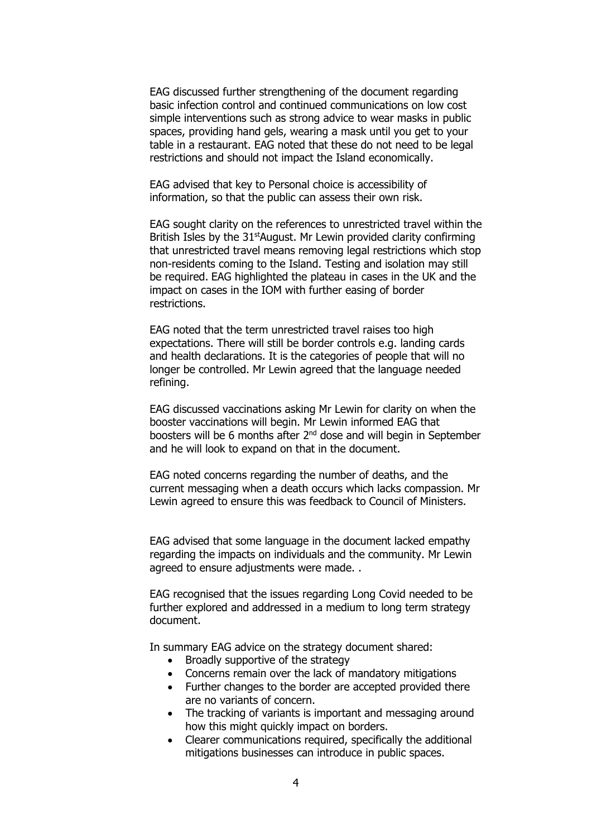EAG discussed further strengthening of the document regarding basic infection control and continued communications on low cost simple interventions such as strong advice to wear masks in public spaces, providing hand gels, wearing a mask until you get to your table in a restaurant. EAG noted that these do not need to be legal restrictions and should not impact the Island economically.

EAG advised that key to Personal choice is accessibility of information, so that the public can assess their own risk.

EAG sought clarity on the references to unrestricted travel within the British Isles by the 31<sup>st</sup>August. Mr Lewin provided clarity confirming that unrestricted travel means removing legal restrictions which stop non-residents coming to the Island. Testing and isolation may still be required. EAG highlighted the plateau in cases in the UK and the impact on cases in the IOM with further easing of border restrictions.

EAG noted that the term unrestricted travel raises too high expectations. There will still be border controls e.g. landing cards and health declarations. It is the categories of people that will no longer be controlled. Mr Lewin agreed that the language needed refining.

EAG discussed vaccinations asking Mr Lewin for clarity on when the booster vaccinations will begin. Mr Lewin informed EAG that boosters will be 6 months after  $2^{nd}$  dose and will begin in September and he will look to expand on that in the document.

EAG noted concerns regarding the number of deaths, and the current messaging when a death occurs which lacks compassion. Mr Lewin agreed to ensure this was feedback to Council of Ministers.

EAG advised that some language in the document lacked empathy regarding the impacts on individuals and the community. Mr Lewin agreed to ensure adjustments were made. .

EAG recognised that the issues regarding Long Covid needed to be further explored and addressed in a medium to long term strategy document.

In summary EAG advice on the strategy document shared:

- Broadly supportive of the strategy
- Concerns remain over the lack of mandatory mitigations
- Further changes to the border are accepted provided there are no variants of concern.
- The tracking of variants is important and messaging around how this might quickly impact on borders.
- Clearer communications required, specifically the additional mitigations businesses can introduce in public spaces.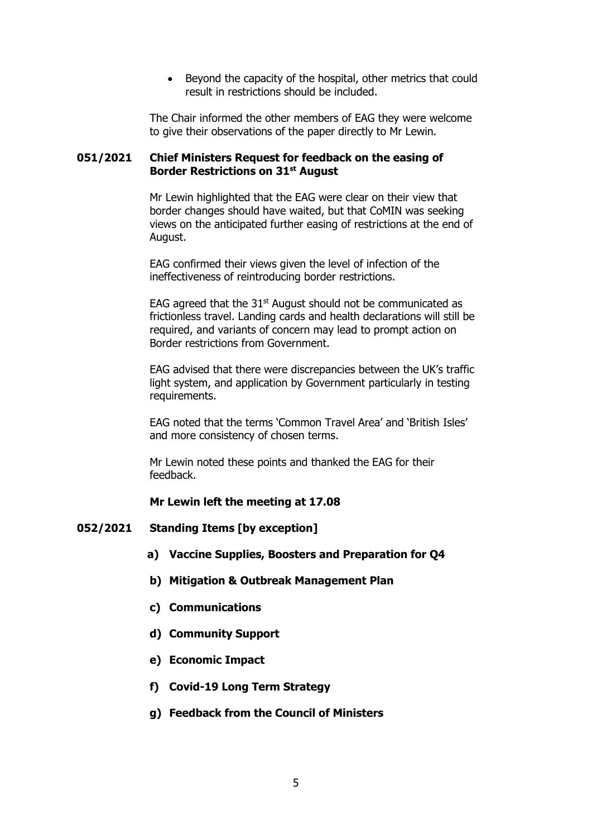• Beyond the capacity of the hospital, other metrics that could result in restrictions should be included.

The Chair informed the other members of EAG they were welcome to give their observations of the paper directly to Mr Lewin.

#### **051/2021 Chief Ministers Request for feedback on the easing of Border Restrictions on 31st August**

Mr Lewin highlighted that the EAG were clear on their view that border changes should have waited, but that CoMIN was seeking views on the anticipated further easing of restrictions at the end of August.

EAG confirmed their views given the level of infection of the ineffectiveness of reintroducing border restrictions.

EAG agreed that the  $31<sup>st</sup>$  August should not be communicated as frictionless travel. Landing cards and health declarations will still be required, and variants of concern may lead to prompt action on Border restrictions from Government.

EAG advised that there were discrepancies between the UK's traffic light system, and application by Government particularly in testing requirements.

EAG noted that the terms 'Common Travel Area' and 'British Isles' and more consistency of chosen terms.

Mr Lewin noted these points and thanked the EAG for their feedback.

#### **Mr Lewin left the meeting at 17.08**

#### **052/2021 Standing Items [by exception]**

- **a) Vaccine Supplies, Boosters and Preparation for Q4**
- **b) Mitigation & Outbreak Management Plan**
- **c) Communications**
- **d) Community Support**
- **e) Economic Impact**
- **f) Covid-19 Long Term Strategy**
- **g) Feedback from the Council of Ministers**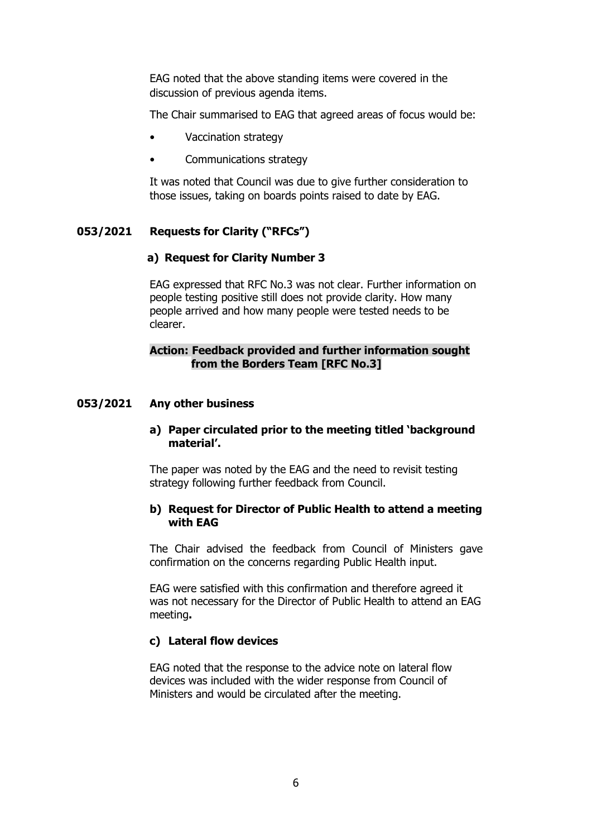EAG noted that the above standing items were covered in the discussion of previous agenda items.

The Chair summarised to EAG that agreed areas of focus would be:

- Vaccination strategy
- Communications strategy

It was noted that Council was due to give further consideration to those issues, taking on boards points raised to date by EAG.

## **053/2021 Requests for Clarity ("RFCs")**

#### **a) Request for Clarity Number 3**

EAG expressed that RFC No.3 was not clear. Further information on people testing positive still does not provide clarity. How many people arrived and how many people were tested needs to be clearer.

#### **Action: Feedback provided and further information sought from the Borders Team [RFC No.3]**

#### **053/2021 Any other business**

#### **a) Paper circulated prior to the meeting titled 'background material'.**

The paper was noted by the EAG and the need to revisit testing strategy following further feedback from Council.

#### **b) Request for Director of Public Health to attend a meeting with EAG**

The Chair advised the feedback from Council of Ministers gave confirmation on the concerns regarding Public Health input.

EAG were satisfied with this confirmation and therefore agreed it was not necessary for the Director of Public Health to attend an EAG meeting**.**

#### **c) Lateral flow devices**

EAG noted that the response to the advice note on lateral flow devices was included with the wider response from Council of Ministers and would be circulated after the meeting.